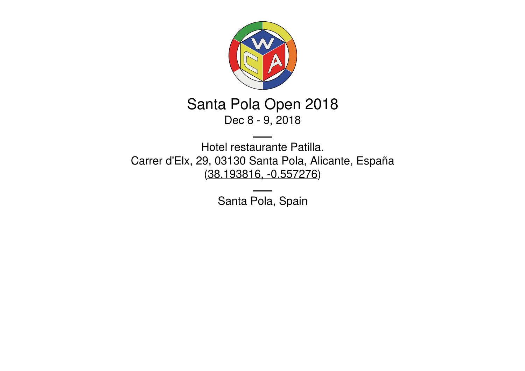

## Santa Pola Open 2018 Dec 8 - 9, 2018

Hotel restaurante Patilla. Carrer d'Elx, 29, 03130 Santa Pola, Alicante, España [\(38.193816,](https://www.google.com/maps/place/38.193816,-0.557276) -0.557276)

Santa Pola, Spain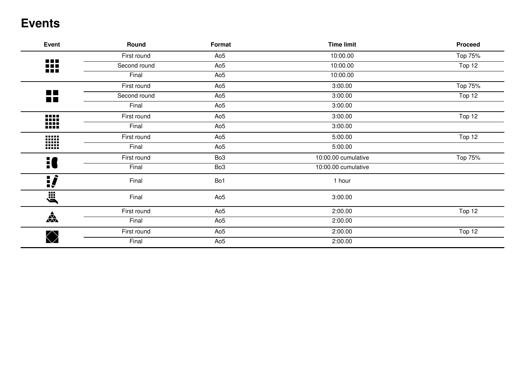### **Events**

| <b>Event</b>                | Round        | Format          | <b>Time limit</b>   | <b>Proceed</b> |
|-----------------------------|--------------|-----------------|---------------------|----------------|
|                             | First round  | Ao <sub>5</sub> | 10:00.00            | Top 75%        |
| ₩                           | Second round | Ao <sub>5</sub> | 10:00.00            | Top 12         |
|                             | Final        | Ao <sub>5</sub> | 10:00.00            |                |
|                             | First round  | Ao <sub>5</sub> | 3:00.00             | Top 75%        |
| <b>COL</b><br><b>Tallet</b> | Second round | Ao <sub>5</sub> | 3:00.00             | Top 12         |
|                             | Final        | Ao <sub>5</sub> | 3:00.00             |                |
|                             | First round  | Ao <sub>5</sub> | 3:00.00             | Top 12         |
| W                           | Final        | Ao <sub>5</sub> | 3:00.00             |                |
|                             | First round  | Ao <sub>5</sub> | 5:00.00             | Top 12         |
| W                           | Final        | Ao <sub>5</sub> | 5:00.00             |                |
| 10                          | First round  | Bo <sub>3</sub> | 10:00.00 cumulative | Top 75%        |
|                             | Final        | Bo <sub>3</sub> | 10:00.00 cumulative |                |
| <u>:</u>                    | Final        | Bo1             | 1 hour              |                |
| jii<br>jii                  | Final        | Ao <sub>5</sub> | 3:00.00             |                |
|                             | First round  | Ao <sub>5</sub> | 2:00.00             | Top 12         |
| $\frac{1}{\sqrt{2}}$        | Final        | Ao <sub>5</sub> | 2:00.00             |                |
|                             | First round  | Ao <sub>5</sub> | 2:00.00             | Top 12         |
| $\bigotimes$                | Final        | Ao <sub>5</sub> | 2:00.00             |                |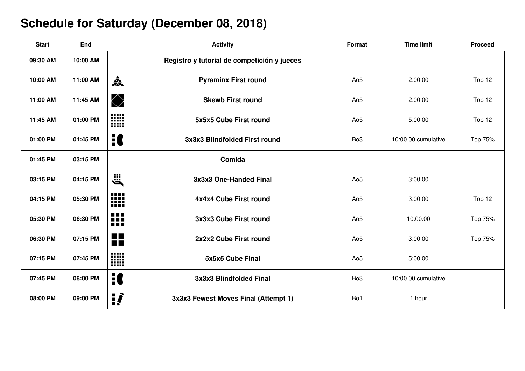# **Schedule for Saturday (December 08, 2018)**

| <b>Start</b> | <b>End</b> | <b>Activity</b>                                       | Format          | <b>Time limit</b>   | <b>Proceed</b> |
|--------------|------------|-------------------------------------------------------|-----------------|---------------------|----------------|
| 09:30 AM     | 10:00 AM   | Registro y tutorial de competición y jueces           |                 |                     |                |
| 10:00 AM     | 11:00 AM   | $\frac{1}{\sqrt{2}}$<br><b>Pyraminx First round</b>   | Ao <sub>5</sub> | 2:00.00             | Top 12         |
| 11:00 AM     | 11:45 AM   | $\bigotimes$<br><b>Skewb First round</b>              | Ao <sub>5</sub> | 2:00.00             | Top 12         |
| 11:45 AM     | 01:00 PM   | W<br>5x5x5 Cube First round                           | Ao <sub>5</sub> | 5:00.00             | Top 12         |
| 01:00 PM     | 01:45 PM   | H<br>3x3x3 Blindfolded First round                    | Bo <sub>3</sub> | 10:00.00 cumulative | Top 75%        |
| 01:45 PM     | 03:15 PM   | Comida                                                |                 |                     |                |
| 03:15 PM     | 04:15 PM   | <b>E</b><br>3x3x3 One-Handed Final                    | Ao <sub>5</sub> | 3:00.00             |                |
| 04:15 PM     | 05:30 PM   | <b>.</b><br>₩<br>4x4x4 Cube First round               | Ao <sub>5</sub> | 3:00.00             | Top 12         |
| 05:30 PM     | 06:30 PM   | 88<br>3x3x3 Cube First round<br>n n n                 | Ao <sub>5</sub> | 10:00.00            | Top 75%        |
| 06:30 PM     | 07:15 PM   | <b>The Co</b><br>2x2x2 Cube First round<br><b>THE</b> | Ao <sub>5</sub> | 3:00.00             | Top 75%        |
| 07:15 PM     | 07:45 PM   | W<br>5x5x5 Cube Final                                 | Ao <sub>5</sub> | 5:00.00             |                |
| 07:45 PM     | 08:00 PM   | H<br>3x3x3 Blindfolded Final                          | Bo <sub>3</sub> | 10:00.00 cumulative |                |
| 08:00 PM     | 09:00 PM   | <u>:</u><br>3x3x3 Fewest Moves Final (Attempt 1)      | Bo1             | 1 hour              |                |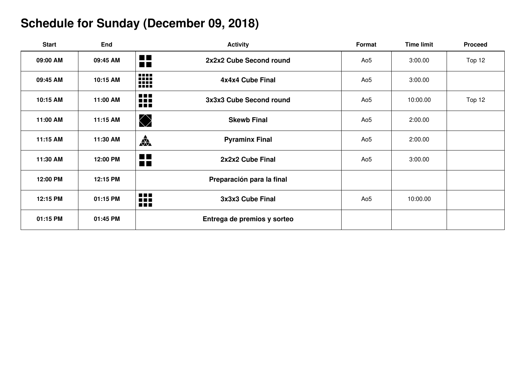# **Schedule for Sunday (December 09, 2018)**

| <b>Start</b> | <b>End</b> | <b>Activity</b>                                                                 | Format          | <b>Time limit</b> | <b>Proceed</b> |
|--------------|------------|---------------------------------------------------------------------------------|-----------------|-------------------|----------------|
| 09:00 AM     | 09:45 AM   | $\blacksquare$<br>2x2x2 Cube Second round<br>$\blacksquare$                     | Ao <sub>5</sub> | 3:00.00           | Top 12         |
| 09:45 AM     | 10:15 AM   | ₩<br>4x4x4 Cube Final                                                           | Ao <sub>5</sub> | 3:00.00           |                |
| 10:15 AM     | 11:00 AM   | ₩<br>3x3x3 Cube Second round                                                    | Ao <sub>5</sub> | 10:00.00          | Top 12         |
| 11:00 AM     | 11:15 AM   | $\bigotimes$<br><b>Skewb Final</b>                                              | Ao <sub>5</sub> | 2:00.00           |                |
| 11:15 AM     | 11:30 AM   | 森<br><b>Pyraminx Final</b>                                                      | Ao <sub>5</sub> | 2:00.00           |                |
| 11:30 AM     | 12:00 PM   | $\blacksquare$<br>2x2x2 Cube Final<br>n n                                       | Ao <sub>5</sub> | 3:00.00           |                |
| 12:00 PM     | 12:15 PM   | Preparación para la final                                                       |                 |                   |                |
| 12:15 PM     | 01:15 PM   | 88<br>3x3x3 Cube Final<br>$\blacksquare \blacksquare \blacksquare \blacksquare$ | Ao <sub>5</sub> | 10:00.00          |                |
| 01:15 PM     | 01:45 PM   | Entrega de premios y sorteo                                                     |                 |                   |                |